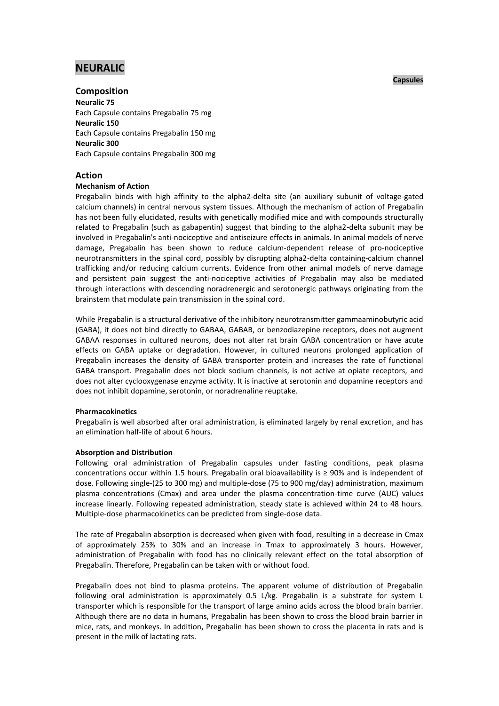# **NEURALIC**

## **Capsules**

# **Composition Neuralic 75** Each Capsule contains Pregabalin 75 mg **Neuralic 150** Each Capsule contains Pregabalin 150 mg **Neuralic 300**

Each Capsule contains Pregabalin 300 mg

# **Action**

# **Mechanism of Action**

Pregabalin binds with high affinity to the alpha2-delta site (an auxiliary subunit of voltage-gated calcium channels) in central nervous system tissues. Although the mechanism of action of Pregabalin has not been fully elucidated, results with genetically modified mice and with compounds structurally related to Pregabalin (such as gabapentin) suggest that binding to the alpha2-delta subunit may be involved in Pregabalin's anti-nociceptive and antiseizure effects in animals. In animal models of nerve damage, Pregabalin has been shown to reduce calcium-dependent release of pro-nociceptive neurotransmitters in the spinal cord, possibly by disrupting alpha2-delta containing-calcium channel trafficking and/or reducing calcium currents. Evidence from other animal models of nerve damage and persistent pain suggest the anti-nociceptive activities of Pregabalin may also be mediated through interactions with descending noradrenergic and serotonergic pathways originating from the brainstem that modulate pain transmission in the spinal cord.

While Pregabalin is a structural derivative of the inhibitory neurotransmitter gammaaminobutyric acid (GABA), it does not bind directly to GABAA, GABAB, or benzodiazepine receptors, does not augment GABAA responses in cultured neurons, does not alter rat brain GABA concentration or have acute effects on GABA uptake or degradation. However, in cultured neurons prolonged application of Pregabalin increases the density of GABA transporter protein and increases the rate of functional GABA transport. Pregabalin does not block sodium channels, is not active at opiate receptors, and does not alter cyclooxygenase enzyme activity. It is inactive at serotonin and dopamine receptors and does not inhibit dopamine, serotonin, or noradrenaline reuptake.

# **Pharmacokinetics**

Pregabalin is well absorbed after oral administration, is eliminated largely by renal excretion, and has an elimination half-life of about 6 hours.

# **Absorption and Distribution**

Following oral administration of Pregabalin capsules under fasting conditions, peak plasma concentrations occur within 1.5 hours. Pregabalin oral bioavailability is  $\geq$  90% and is independent of dose. Following single-(25 to 300 mg) and multiple-dose (75 to 900 mg/day) administration, maximum plasma concentrations (Cmax) and area under the plasma concentration-time curve (AUC) values increase linearly. Following repeated administration, steady state is achieved within 24 to 48 hours. Multiple-dose pharmacokinetics can be predicted from single-dose data.

The rate of Pregabalin absorption is decreased when given with food, resulting in a decrease in Cmax of approximately 25% to 30% and an increase in Tmax to approximately 3 hours. However, administration of Pregabalin with food has no clinically relevant effect on the total absorption of Pregabalin. Therefore, Pregabalin can be taken with or without food.

Pregabalin does not bind to plasma proteins. The apparent volume of distribution of Pregabalin following oral administration is approximately 0.5 L/kg. Pregabalin is a substrate for system L transporter which is responsible for the transport of large amino acids across the blood brain barrier. Although there are no data in humans, Pregabalin has been shown to cross the blood brain barrier in mice, rats, and monkeys. In addition, Pregabalin has been shown to cross the placenta in rats and is present in the milk of lactating rats.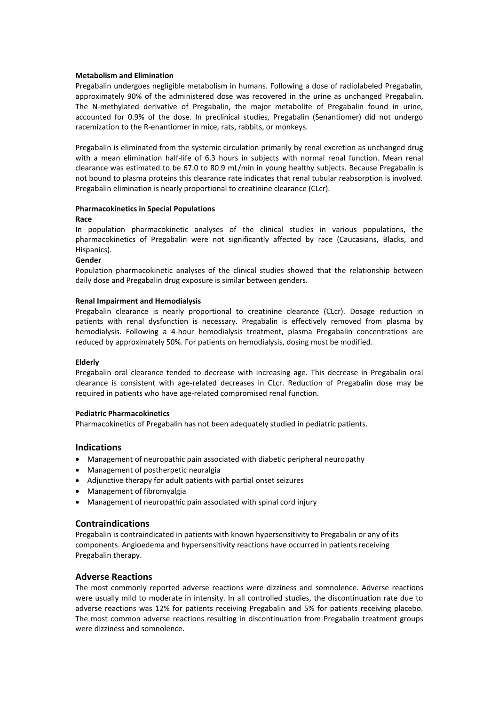## **Metabolism and Elimination**

Pregabalin undergoes negligible metabolism in humans. Following a dose of radiolabeled Pregabalin, approximately 90% of the administered dose was recovered in the urine as unchanged Pregabalin. The N-methylated derivative of Pregabalin, the major metabolite of Pregabalin found in urine, accounted for 0.9% of the dose. In preclinical studies, Pregabalin (Senantiomer) did not undergo racemization to the R-enantiomer in mice, rats, rabbits, or monkeys.

Pregabalin is eliminated from the systemic circulation primarily by renal excretion as unchanged drug with a mean elimination half-life of 6.3 hours in subjects with normal renal function. Mean renal clearance was estimated to be 67.0 to 80.9 mL/min in young healthy subjects. Because Pregabalin is not bound to plasma proteins this clearance rate indicates that renal tubular reabsorption is involved. Pregabalin elimination is nearly proportional to creatinine clearance (CLcr).

## **Pharmacokinetics in Special Populations**

#### **Race**

In population pharmacokinetic analyses of the clinical studies in various populations, the pharmacokinetics of Pregabalin were not significantly affected by race (Caucasians, Blacks, and Hispanics).

## **Gender**

Population pharmacokinetic analyses of the clinical studies showed that the relationship between daily dose and Pregabalin drug exposure is similar between genders.

## **Renal Impairment and Hemodialysis**

Pregabalin clearance is nearly proportional to creatinine clearance (CLcr). Dosage reduction in patients with renal dysfunction is necessary. Pregabalin is effectively removed from plasma by hemodialysis. Following a 4-hour hemodialysis treatment, plasma Pregabalin concentrations are reduced by approximately 50%. For patients on hemodialysis, dosing must be modified.

# **Elderly**

Pregabalin oral clearance tended to decrease with increasing age. This decrease in Pregabalin oral clearance is consistent with age-related decreases in CLcr. Reduction of Pregabalin dose may be required in patients who have age-related compromised renal function.

#### **Pediatric Pharmacokinetics**

Pharmacokinetics of Pregabalin has not been adequately studied in pediatric patients.

# **Indications**

- Management of neuropathic pain associated with diabetic peripheral neuropathy
- Management of postherpetic neuralgia
- Adjunctive therapy for adult patients with partial onset seizures
- Management of fibromyalgia
- Management of neuropathic pain associated with spinal cord injury

# **Contraindications**

Pregabalin is contraindicated in patients with known hypersensitivity to Pregabalin or any of its components. Angioedema and hypersensitivity reactions have occurred in patients receiving Pregabalin therapy.

# **Adverse Reactions**

The most commonly reported adverse reactions were dizziness and somnolence. Adverse reactions were usually mild to moderate in intensity. In all controlled studies, the discontinuation rate due to adverse reactions was 12% for patients receiving Pregabalin and 5% for patients receiving placebo. The most common adverse reactions resulting in discontinuation from Pregabalin treatment groups were dizziness and somnolence.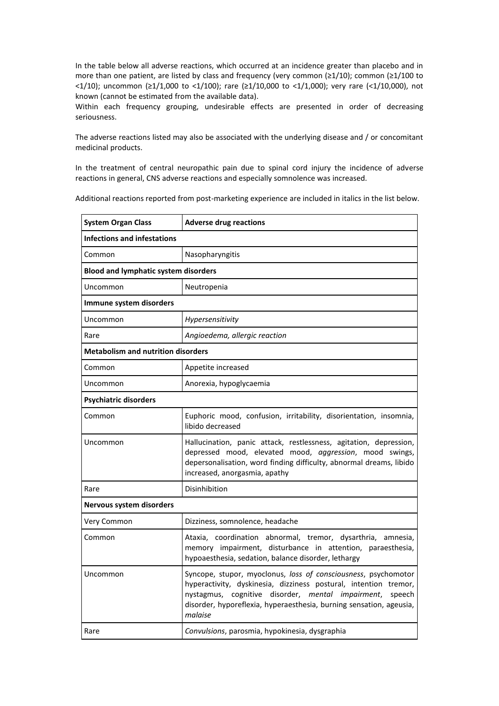In the table below all adverse reactions, which occurred at an incidence greater than placebo and in more than one patient, are listed by class and frequency (very common (≥1/10); common (≥1/100 to <1/10); uncommon (≥1/1,000 to <1/100); rare (≥1/10,000 to <1/1,000); very rare (<1/10,000), not known (cannot be estimated from the available data).

Within each frequency grouping, undesirable effects are presented in order of decreasing seriousness.

The adverse reactions listed may also be associated with the underlying disease and / or concomitant medicinal products.

In the treatment of central neuropathic pain due to spinal cord injury the incidence of adverse reactions in general, CNS adverse reactions and especially somnolence was increased.

Additional reactions reported from post-marketing experience are included in italics in the list below.

| <b>System Organ Class</b>                   | <b>Adverse drug reactions</b>                                                                                                                                                                                                                                                       |  |  |  |  |
|---------------------------------------------|-------------------------------------------------------------------------------------------------------------------------------------------------------------------------------------------------------------------------------------------------------------------------------------|--|--|--|--|
| <b>Infections and infestations</b>          |                                                                                                                                                                                                                                                                                     |  |  |  |  |
| Common                                      | Nasopharyngitis                                                                                                                                                                                                                                                                     |  |  |  |  |
| <b>Blood and lymphatic system disorders</b> |                                                                                                                                                                                                                                                                                     |  |  |  |  |
| Uncommon                                    | Neutropenia                                                                                                                                                                                                                                                                         |  |  |  |  |
| Immune system disorders                     |                                                                                                                                                                                                                                                                                     |  |  |  |  |
| Uncommon                                    | <b>Hypersensitivity</b>                                                                                                                                                                                                                                                             |  |  |  |  |
| Rare                                        | Angioedema, allergic reaction                                                                                                                                                                                                                                                       |  |  |  |  |
| <b>Metabolism and nutrition disorders</b>   |                                                                                                                                                                                                                                                                                     |  |  |  |  |
| Common                                      | Appetite increased                                                                                                                                                                                                                                                                  |  |  |  |  |
| Uncommon                                    | Anorexia, hypoglycaemia                                                                                                                                                                                                                                                             |  |  |  |  |
| <b>Psychiatric disorders</b>                |                                                                                                                                                                                                                                                                                     |  |  |  |  |
| Common                                      | Euphoric mood, confusion, irritability, disorientation, insomnia,<br>libido decreased                                                                                                                                                                                               |  |  |  |  |
| Uncommon                                    | Hallucination, panic attack, restlessness, agitation, depression,<br>depressed mood, elevated mood, aggression, mood swings,<br>depersonalisation, word finding difficulty, abnormal dreams, libido<br>increased, anorgasmia, apathy                                                |  |  |  |  |
| Rare                                        | Disinhibition                                                                                                                                                                                                                                                                       |  |  |  |  |
| Nervous system disorders                    |                                                                                                                                                                                                                                                                                     |  |  |  |  |
| Very Common                                 | Dizziness, somnolence, headache                                                                                                                                                                                                                                                     |  |  |  |  |
| Common                                      | Ataxia, coordination abnormal, tremor, dysarthria, amnesia,<br>memory impairment, disturbance in attention, paraesthesia,<br>hypoaesthesia, sedation, balance disorder, lethargy                                                                                                    |  |  |  |  |
| Uncommon                                    | Syncope, stupor, myoclonus, loss of consciousness, psychomotor<br>hyperactivity, dyskinesia, dizziness postural, intention tremor,<br>nystagmus, cognitive disorder, mental impairment,<br>speech<br>disorder, hyporeflexia, hyperaesthesia, burning sensation, ageusia,<br>malaise |  |  |  |  |
| Rare                                        | Convulsions, parosmia, hypokinesia, dysgraphia                                                                                                                                                                                                                                      |  |  |  |  |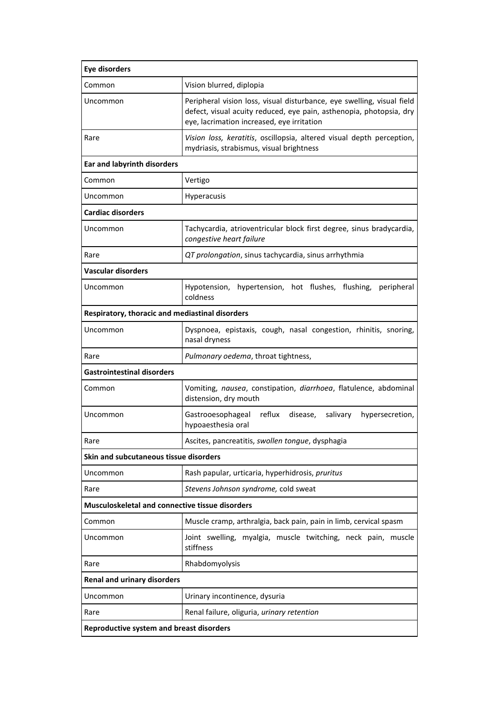| <b>Eye disorders</b>                            |                                                                                                                                                                                             |  |  |  |  |
|-------------------------------------------------|---------------------------------------------------------------------------------------------------------------------------------------------------------------------------------------------|--|--|--|--|
| Common                                          | Vision blurred, diplopia                                                                                                                                                                    |  |  |  |  |
| Uncommon                                        | Peripheral vision loss, visual disturbance, eye swelling, visual field<br>defect, visual acuity reduced, eye pain, asthenopia, photopsia, dry<br>eye, lacrimation increased, eye irritation |  |  |  |  |
| Rare                                            | Vision loss, keratitis, oscillopsia, altered visual depth perception,<br>mydriasis, strabismus, visual brightness                                                                           |  |  |  |  |
| <b>Ear and labyrinth disorders</b>              |                                                                                                                                                                                             |  |  |  |  |
| Common                                          | Vertigo                                                                                                                                                                                     |  |  |  |  |
| Uncommon                                        | Hyperacusis                                                                                                                                                                                 |  |  |  |  |
| <b>Cardiac disorders</b>                        |                                                                                                                                                                                             |  |  |  |  |
| Uncommon                                        | Tachycardia, atrioventricular block first degree, sinus bradycardia,<br>congestive heart failure                                                                                            |  |  |  |  |
| Rare                                            | QT prolongation, sinus tachycardia, sinus arrhythmia                                                                                                                                        |  |  |  |  |
| <b>Vascular disorders</b>                       |                                                                                                                                                                                             |  |  |  |  |
| Uncommon                                        | hypertension, hot flushes, flushing,<br>Hypotension,<br>peripheral<br>coldness                                                                                                              |  |  |  |  |
| Respiratory, thoracic and mediastinal disorders |                                                                                                                                                                                             |  |  |  |  |
| Uncommon                                        | Dyspnoea, epistaxis, cough, nasal congestion, rhinitis, snoring,<br>nasal dryness                                                                                                           |  |  |  |  |
| Rare                                            | Pulmonary oedema, throat tightness,                                                                                                                                                         |  |  |  |  |
| <b>Gastrointestinal disorders</b>               |                                                                                                                                                                                             |  |  |  |  |
| Common                                          | Vomiting, nausea, constipation, diarrhoea, flatulence, abdominal<br>distension, dry mouth                                                                                                   |  |  |  |  |
| Uncommon                                        | Gastrooesophageal reflux<br>salivary<br>disease,<br>hypersecretion,<br>hypoaesthesia oral                                                                                                   |  |  |  |  |
| Rare                                            | Ascites, pancreatitis, swollen tongue, dysphagia                                                                                                                                            |  |  |  |  |
| Skin and subcutaneous tissue disorders          |                                                                                                                                                                                             |  |  |  |  |
| Uncommon                                        | Rash papular, urticaria, hyperhidrosis, pruritus                                                                                                                                            |  |  |  |  |
| Rare                                            | Stevens Johnson syndrome, cold sweat                                                                                                                                                        |  |  |  |  |
| Musculoskeletal and connective tissue disorders |                                                                                                                                                                                             |  |  |  |  |
| Common                                          | Muscle cramp, arthralgia, back pain, pain in limb, cervical spasm                                                                                                                           |  |  |  |  |
| Uncommon                                        | Joint swelling, myalgia, muscle twitching, neck pain, muscle<br>stiffness                                                                                                                   |  |  |  |  |
| Rare                                            | Rhabdomyolysis                                                                                                                                                                              |  |  |  |  |
| <b>Renal and urinary disorders</b>              |                                                                                                                                                                                             |  |  |  |  |
| Uncommon                                        | Urinary incontinence, dysuria                                                                                                                                                               |  |  |  |  |
| Rare                                            | Renal failure, oliguria, urinary retention                                                                                                                                                  |  |  |  |  |
| <b>Reproductive system and breast disorders</b> |                                                                                                                                                                                             |  |  |  |  |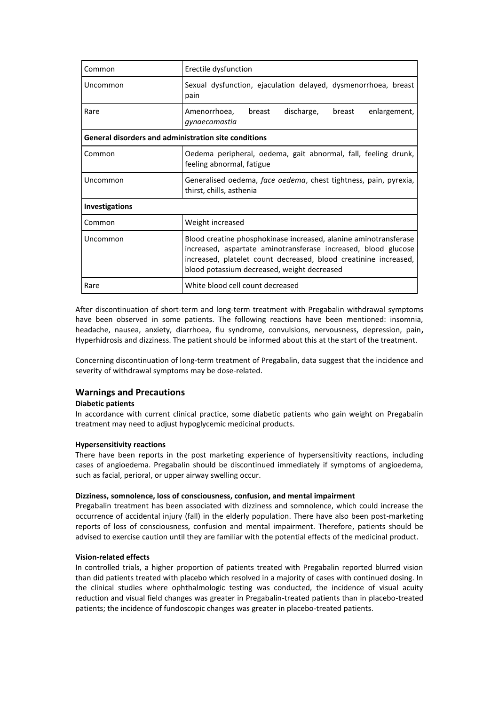| Common                                                      | Erectile dysfunction                                                                                                                                                                                                                                  |  |  |  |  |  |  |
|-------------------------------------------------------------|-------------------------------------------------------------------------------------------------------------------------------------------------------------------------------------------------------------------------------------------------------|--|--|--|--|--|--|
| Uncommon                                                    | Sexual dysfunction, ejaculation delayed, dysmenorrhoea, breast<br>pain                                                                                                                                                                                |  |  |  |  |  |  |
| Rare                                                        | discharge,<br>Amenorrhoea,<br>breast<br>breast<br>enlargement,<br>gynaecomastia                                                                                                                                                                       |  |  |  |  |  |  |
| <b>General disorders and administration site conditions</b> |                                                                                                                                                                                                                                                       |  |  |  |  |  |  |
| Common                                                      | Oedema peripheral, oedema, gait abnormal, fall, feeling drunk,<br>feeling abnormal, fatigue                                                                                                                                                           |  |  |  |  |  |  |
| Uncommon                                                    | Generalised oedema, face oedema, chest tightness, pain, pyrexia,<br>thirst, chills, asthenia                                                                                                                                                          |  |  |  |  |  |  |
| <b>Investigations</b>                                       |                                                                                                                                                                                                                                                       |  |  |  |  |  |  |
| Common                                                      | Weight increased                                                                                                                                                                                                                                      |  |  |  |  |  |  |
| Uncommon                                                    | Blood creatine phosphokinase increased, alanine aminotransferase<br>increased, aspartate aminotransferase increased, blood glucose<br>increased, platelet count decreased, blood creatinine increased,<br>blood potassium decreased, weight decreased |  |  |  |  |  |  |
| Rare                                                        | White blood cell count decreased                                                                                                                                                                                                                      |  |  |  |  |  |  |

After discontinuation of short-term and long-term treatment with Pregabalin withdrawal symptoms have been observed in some patients. The following reactions have been mentioned: insomnia, headache, nausea, anxiety, diarrhoea, flu syndrome, convulsions, nervousness, depression, pain**,** Hyperhidrosis and dizziness. The patient should be informed about this at the start of the treatment.

Concerning discontinuation of long-term treatment of Pregabalin, data suggest that the incidence and severity of withdrawal symptoms may be dose-related.

# **Warnings and Precautions**

## **Diabetic patients**

In accordance with current clinical practice, some diabetic patients who gain weight on Pregabalin treatment may need to adjust hypoglycemic medicinal products.

#### **Hypersensitivity reactions**

There have been reports in the post marketing experience of hypersensitivity reactions, including cases of angioedema. Pregabalin should be discontinued immediately if symptoms of angioedema, such as facial, perioral, or upper airway swelling occur.

#### **Dizziness, somnolence, loss of consciousness, confusion, and mental impairment**

Pregabalin treatment has been associated with dizziness and somnolence, which could increase the occurrence of accidental injury (fall) in the elderly population. There have also been post-marketing reports of loss of consciousness, confusion and mental impairment. Therefore, patients should be advised to exercise caution until they are familiar with the potential effects of the medicinal product.

#### **Vision-related effects**

In controlled trials, a higher proportion of patients treated with Pregabalin reported blurred vision than did patients treated with placebo which resolved in a majority of cases with continued dosing. In the clinical studies where ophthalmologic testing was conducted, the incidence of visual acuity reduction and visual field changes was greater in Pregabalin-treated patients than in placebo-treated patients; the incidence of fundoscopic changes was greater in placebo-treated patients.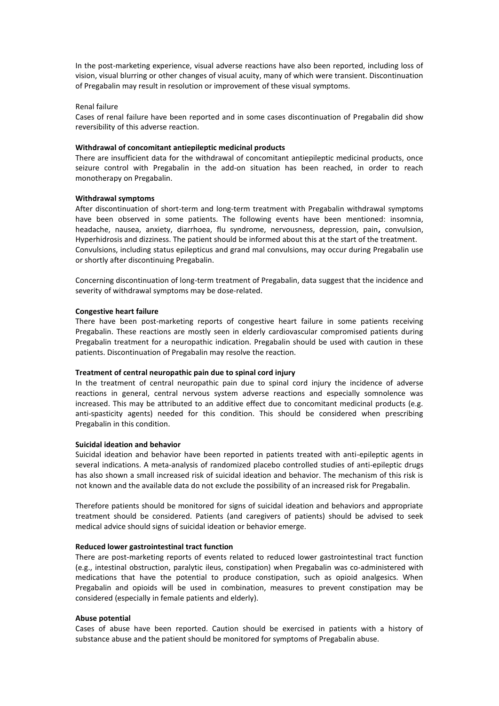In the post-marketing experience, visual adverse reactions have also been reported, including loss of vision, visual blurring or other changes of visual acuity, many of which were transient. Discontinuation of Pregabalin may result in resolution or improvement of these visual symptoms.

## Renal failure

Cases of renal failure have been reported and in some cases discontinuation of Pregabalin did show reversibility of this adverse reaction.

## **Withdrawal of concomitant antiepileptic medicinal products**

There are insufficient data for the withdrawal of concomitant antiepileptic medicinal products, once seizure control with Pregabalin in the add-on situation has been reached, in order to reach monotherapy on Pregabalin.

#### **Withdrawal symptoms**

After discontinuation of short-term and long-term treatment with Pregabalin withdrawal symptoms have been observed in some patients. The following events have been mentioned: insomnia, headache, nausea, anxiety, diarrhoea, flu syndrome, nervousness, depression, pain**,** convulsion, Hyperhidrosis and dizziness. The patient should be informed about this at the start of the treatment. Convulsions, including status epilepticus and grand mal convulsions, may occur during Pregabalin use or shortly after discontinuing Pregabalin.

Concerning discontinuation of long-term treatment of Pregabalin, data suggest that the incidence and severity of withdrawal symptoms may be dose-related.

#### **Congestive heart failure**

There have been post-marketing reports of congestive heart failure in some patients receiving Pregabalin. These reactions are mostly seen in elderly cardiovascular compromised patients during Pregabalin treatment for a neuropathic indication. Pregabalin should be used with caution in these patients. Discontinuation of Pregabalin may resolve the reaction.

#### **Treatment of central neuropathic pain due to spinal cord injury**

In the treatment of central neuropathic pain due to spinal cord injury the incidence of adverse reactions in general, central nervous system adverse reactions and especially somnolence was increased. This may be attributed to an additive effect due to concomitant medicinal products (e.g. anti-spasticity agents) needed for this condition. This should be considered when prescribing Pregabalin in this condition.

#### **Suicidal ideation and behavior**

Suicidal ideation and behavior have been reported in patients treated with anti-epileptic agents in several indications. A meta-analysis of randomized placebo controlled studies of anti-epileptic drugs has also shown a small increased risk of suicidal ideation and behavior. The mechanism of this risk is not known and the available data do not exclude the possibility of an increased risk for Pregabalin.

Therefore patients should be monitored for signs of suicidal ideation and behaviors and appropriate treatment should be considered. Patients (and caregivers of patients) should be advised to seek medical advice should signs of suicidal ideation or behavior emerge.

#### **Reduced lower gastrointestinal tract function**

There are post-marketing reports of events related to reduced lower gastrointestinal tract function (e.g., intestinal obstruction, paralytic ileus, constipation) when Pregabalin was co-administered with medications that have the potential to produce constipation, such as opioid analgesics. When Pregabalin and opioids will be used in combination, measures to prevent constipation may be considered (especially in female patients and elderly).

#### **Abuse potential**

Cases of abuse have been reported. Caution should be exercised in patients with a history of substance abuse and the patient should be monitored for symptoms of Pregabalin abuse.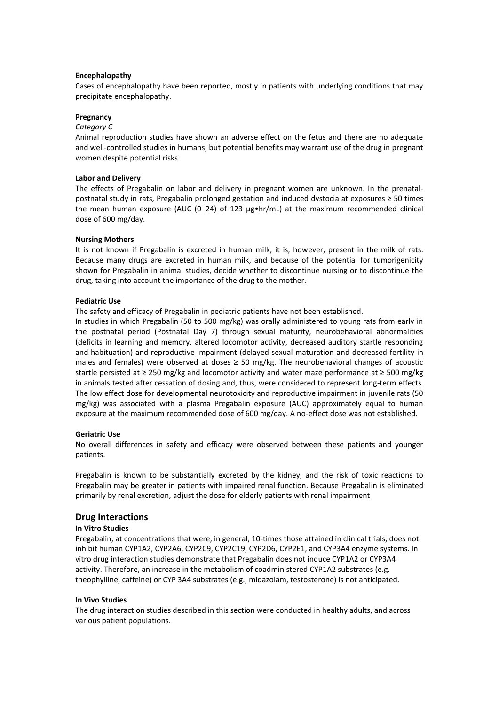## **Encephalopathy**

Cases of encephalopathy have been reported, mostly in patients with underlying conditions that may precipitate encephalopathy.

#### **Pregnancy**

#### *Category C*

Animal reproduction studies have shown an adverse effect on the fetus and there are no adequate and well-controlled studies in humans, but potential benefits may warrant use of the drug in pregnant women despite potential risks.

#### **Labor and Delivery**

The effects of Pregabalin on labor and delivery in pregnant women are unknown. In the prenatalpostnatal study in rats, Pregabalin prolonged gestation and induced dystocia at exposures ≥ 50 times the mean human exposure (AUC (0–24) of 123  $\mu$ g•hr/mL) at the maximum recommended clinical dose of 600 mg/day.

#### **Nursing Mothers**

It is not known if Pregabalin is excreted in human milk; it is, however, present in the milk of rats. Because many drugs are excreted in human milk, and because of the potential for tumorigenicity shown for Pregabalin in animal studies, decide whether to discontinue nursing or to discontinue the drug, taking into account the importance of the drug to the mother.

#### **Pediatric Use**

The safety and efficacy of Pregabalin in pediatric patients have not been established.

In studies in which Pregabalin (50 to 500 mg/kg) was orally administered to young rats from early in the postnatal period (Postnatal Day 7) through sexual maturity, neurobehavioral abnormalities (deficits in learning and memory, altered locomotor activity, decreased auditory startle responding and habituation) and reproductive impairment (delayed sexual maturation and decreased fertility in males and females) were observed at doses  $\geq$  50 mg/kg. The neurobehavioral changes of acoustic startle persisted at ≥ 250 mg/kg and locomotor activity and water maze performance at ≥ 500 mg/kg in animals tested after cessation of dosing and, thus, were considered to represent long-term effects. The low effect dose for developmental neurotoxicity and reproductive impairment in juvenile rats (50 mg/kg) was associated with a plasma Pregabalin exposure (AUC) approximately equal to human exposure at the maximum recommended dose of 600 mg/day. A no-effect dose was not established.

#### **Geriatric Use**

No overall differences in safety and efficacy were observed between these patients and younger patients.

Pregabalin is known to be substantially excreted by the kidney, and the risk of toxic reactions to Pregabalin may be greater in patients with impaired renal function. Because Pregabalin is eliminated primarily by renal excretion, adjust the dose for elderly patients with renal impairment

## **Drug Interactions**

# **In Vitro Studies**

Pregabalin, at concentrations that were, in general, 10-times those attained in clinical trials, does not inhibit human CYP1A2, CYP2A6, CYP2C9, CYP2C19, CYP2D6, CYP2E1, and CYP3A4 enzyme systems. In vitro drug interaction studies demonstrate that Pregabalin does not induce CYP1A2 or CYP3A4 activity. Therefore, an increase in the metabolism of coadministered CYP1A2 substrates (e.g. theophylline, caffeine) or CYP 3A4 substrates (e.g., midazolam, testosterone) is not anticipated.

#### **In Vivo Studies**

The drug interaction studies described in this section were conducted in healthy adults, and across various patient populations.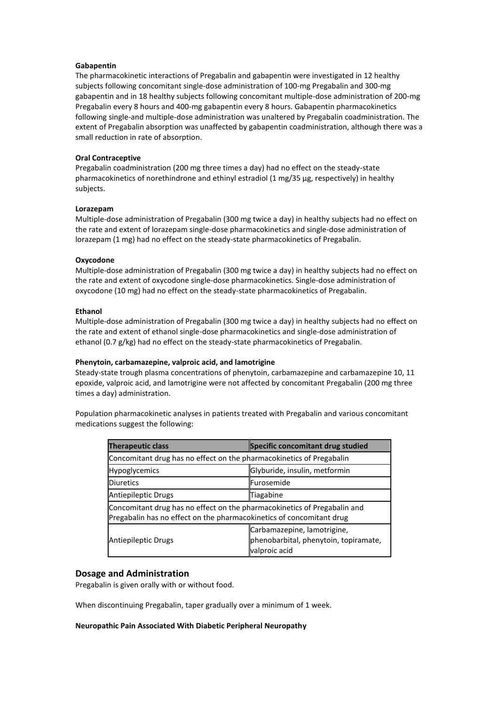## **Gabapentin**

The pharmacokinetic interactions of Pregabalin and gabapentin were investigated in 12 healthy subjects following concomitant single-dose administration of 100-mg Pregabalin and 300-mg gabapentin and in 18 healthy subjects following concomitant multiple-dose administration of 200-mg Pregabalin every 8 hours and 400-mg gabapentin every 8 hours. Gabapentin pharmacokinetics following single-and multiple-dose administration was unaltered by Pregabalin coadministration. The extent of Pregabalin absorption was unaffected by gabapentin coadministration, although there was a small reduction in rate of absorption.

## **Oral Contraceptive**

Pregabalin coadministration (200 mg three times a day) had no effect on the steady-state pharmacokinetics of norethindrone and ethinyl estradiol (1 mg/35 μg, respectively) in healthy subjects.

## **Lorazepam**

Multiple-dose administration of Pregabalin (300 mg twice a day) in healthy subjects had no effect on the rate and extent of lorazepam single-dose pharmacokinetics and single-dose administration of lorazepam (1 mg) had no effect on the steady-state pharmacokinetics of Pregabalin.

## **Oxycodone**

Multiple-dose administration of Pregabalin (300 mg twice a day) in healthy subjects had no effect on the rate and extent of oxycodone single-dose pharmacokinetics. Single-dose administration of oxycodone (10 mg) had no effect on the steady-state pharmacokinetics of Pregabalin.

## **Ethanol**

Multiple-dose administration of Pregabalin (300 mg twice a day) in healthy subjects had no effect on the rate and extent of ethanol single-dose pharmacokinetics and single-dose administration of ethanol (0.7 g/kg) had no effect on the steady-state pharmacokinetics of Pregabalin.

# **Phenytoin, carbamazepine, valproic acid, and lamotrigine**

Steady-state trough plasma concentrations of phenytoin, carbamazepine and carbamazepine 10, 11 epoxide, valproic acid, and lamotrigine were not affected by concomitant Pregabalin (200 mg three times a day) administration.

Population pharmacokinetic analyses in patients treated with Pregabalin and various concomitant medications suggest the following:

| <b>Therapeutic class</b>                                                                                                                         | Specific concomitant drug studied                                                     |  |  |  |  |
|--------------------------------------------------------------------------------------------------------------------------------------------------|---------------------------------------------------------------------------------------|--|--|--|--|
| Concomitant drug has no effect on the pharmacokinetics of Pregabalin                                                                             |                                                                                       |  |  |  |  |
| Hypoglycemics                                                                                                                                    | Glyburide, insulin, metformin                                                         |  |  |  |  |
| <b>Diuretics</b>                                                                                                                                 | Furosemide                                                                            |  |  |  |  |
| Antiepileptic Drugs                                                                                                                              | Tiagabine                                                                             |  |  |  |  |
| Concomitant drug has no effect on the pharmacokinetics of Pregabalin and<br>Pregabalin has no effect on the pharmacokinetics of concomitant drug |                                                                                       |  |  |  |  |
| Antiepileptic Drugs                                                                                                                              | Carbamazepine, lamotrigine,<br>phenobarbital, phenytoin, topiramate,<br>valproic acid |  |  |  |  |

# **Dosage and Administration**

Pregabalin is given orally with or without food.

When discontinuing Pregabalin, taper gradually over a minimum of 1 week.

#### **Neuropathic Pain Associated With Diabetic Peripheral Neuropathy**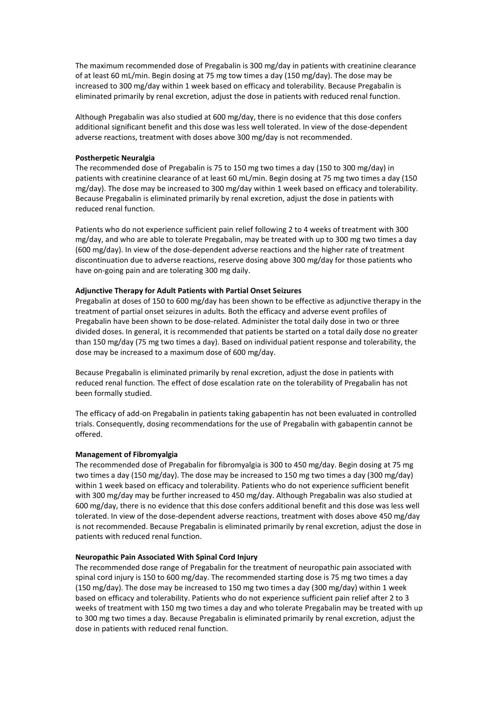The maximum recommended dose of Pregabalin is 300 mg/day in patients with creatinine clearance of at least 60 mL/min. Begin dosing at 75 mg tow times a day (150 mg/day). The dose may be increased to 300 mg/day within 1 week based on efficacy and tolerability. Because Pregabalin is eliminated primarily by renal excretion, adjust the dose in patients with reduced renal function.

Although Pregabalin was also studied at 600 mg/day, there is no evidence that this dose confers additional significant benefit and this dose was less well tolerated. In view of the dose-dependent adverse reactions, treatment with doses above 300 mg/day is not recommended.

### **Postherpetic Neuralgia**

The recommended dose of Pregabalin is 75 to 150 mg two times a day (150 to 300 mg/day) in patients with creatinine clearance of at least 60 mL/min. Begin dosing at 75 mg two times a day (150 mg/day). The dose may be increased to 300 mg/day within 1 week based on efficacy and tolerability. Because Pregabalin is eliminated primarily by renal excretion, adjust the dose in patients with reduced renal function.

Patients who do not experience sufficient pain relief following 2 to 4 weeks of treatment with 300 mg/day, and who are able to tolerate Pregabalin, may be treated with up to 300 mg two times a day (600 mg/day). In view of the dose-dependent adverse reactions and the higher rate of treatment discontinuation due to adverse reactions, reserve dosing above 300 mg/day for those patients who have on-going pain and are tolerating 300 mg daily.

#### **Adjunctive Therapy for Adult Patients with Partial Onset Seizures**

Pregabalin at doses of 150 to 600 mg/day has been shown to be effective as adjunctive therapy in the treatment of partial onset seizures in adults. Both the efficacy and adverse event profiles of Pregabalin have been shown to be dose-related. Administer the total daily dose in two or three divided doses. In general, it is recommended that patients be started on a total daily dose no greater than 150 mg/day (75 mg two times a day). Based on individual patient response and tolerability, the dose may be increased to a maximum dose of 600 mg/day.

Because Pregabalin is eliminated primarily by renal excretion, adjust the dose in patients with reduced renal function. The effect of dose escalation rate on the tolerability of Pregabalin has not been formally studied.

The efficacy of add-on Pregabalin in patients taking gabapentin has not been evaluated in controlled trials. Consequently, dosing recommendations for the use of Pregabalin with gabapentin cannot be offered.

#### **Management of Fibromyalgia**

The recommended dose of Pregabalin for fibromyalgia is 300 to 450 mg/day. Begin dosing at 75 mg two times a day (150 mg/day). The dose may be increased to 150 mg two times a day (300 mg/day) within 1 week based on efficacy and tolerability. Patients who do not experience sufficient benefit with 300 mg/day may be further increased to 450 mg/day. Although Pregabalin was also studied at 600 mg/day, there is no evidence that this dose confers additional benefit and this dose was less well tolerated. In view of the dose-dependent adverse reactions, treatment with doses above 450 mg/day is not recommended. Because Pregabalin is eliminated primarily by renal excretion, adjust the dose in patients with reduced renal function.

#### **Neuropathic Pain Associated With Spinal Cord Injury**

The recommended dose range of Pregabalin for the treatment of neuropathic pain associated with spinal cord injury is 150 to 600 mg/day. The recommended starting dose is 75 mg two times a day (150 mg/day). The dose may be increased to 150 mg two times a day (300 mg/day) within 1 week based on efficacy and tolerability. Patients who do not experience sufficient pain relief after 2 to 3 weeks of treatment with 150 mg two times a day and who tolerate Pregabalin may be treated with up to 300 mg two times a day. Because Pregabalin is eliminated primarily by renal excretion, adjust the dose in patients with reduced renal function.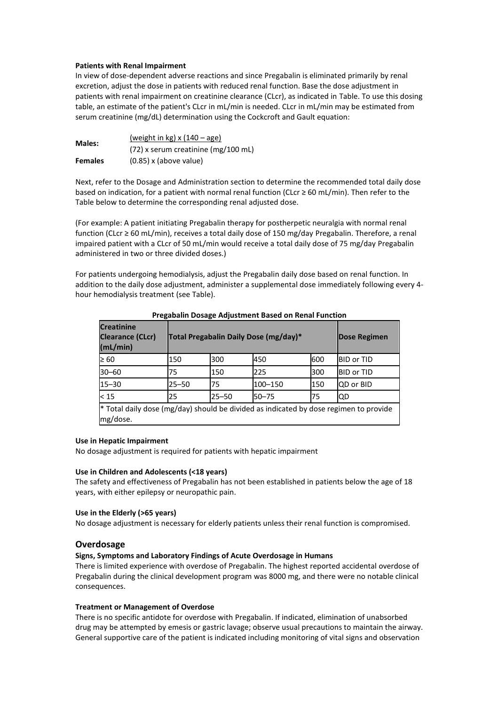## **Patients with Renal Impairment**

In view of dose-dependent adverse reactions and since Pregabalin is eliminated primarily by renal excretion, adjust the dose in patients with reduced renal function. Base the dose adjustment in patients with renal impairment on creatinine clearance (CLcr), as indicated in Table. To use this dosing table, an estimate of the patient's CLcr in mL/min is needed. CLcr in mL/min may be estimated from serum creatinine (mg/dL) determination using the Cockcroft and Gault equation:

| <b>Males:</b>  | (weight in kg) $x(140 - age)$         |  |  |  |
|----------------|---------------------------------------|--|--|--|
|                | $(72)$ x serum creatinine (mg/100 mL) |  |  |  |
| <b>Females</b> | $(0.85)$ x (above value)              |  |  |  |

Next, refer to the Dosage and Administration section to determine the recommended total daily dose based on indication, for a patient with normal renal function (CLcr ≥ 60 mL/min). Then refer to the Table below to determine the corresponding renal adjusted dose.

(For example: A patient initiating Pregabalin therapy for postherpetic neuralgia with normal renal function (CLcr ≥ 60 mL/min), receives a total daily dose of 150 mg/day Pregabalin. Therefore, a renal impaired patient with a CLcr of 50 mL/min would receive a total daily dose of 75 mg/day Pregabalin administered in two or three divided doses.)

For patients undergoing hemodialysis, adjust the Pregabalin daily dose based on renal function. In addition to the daily dose adjustment, administer a supplemental dose immediately following every 4 hour hemodialysis treatment (see Table).

| <b>Creatinine</b><br><b>Clearance (CLcr)</b><br>(mL/min)                                          |           | Total Pregabalin Daily Dose (mg/day)* |           |     |                   |  |
|---------------------------------------------------------------------------------------------------|-----------|---------------------------------------|-----------|-----|-------------------|--|
| $\geq 60$                                                                                         | 150       | 300                                   | 450       | 600 | <b>BID or TID</b> |  |
| $30 - 60$                                                                                         | 75        | 150                                   | 225       | 300 | <b>BID or TID</b> |  |
| $15 - 30$                                                                                         | $25 - 50$ | 75                                    | 100-150   | 150 | QD or BID         |  |
| $15$                                                                                              | 25        | $25 - 50$                             | $50 - 75$ | 75  | <b>IQD</b>        |  |
| * Total daily dose (mg/day) should be divided as indicated by dose regimen to provide<br>mg/dose. |           |                                       |           |     |                   |  |

**Pregabalin Dosage Adjustment Based on Renal Function**

## **Use in Hepatic Impairment**

No dosage adjustment is required for patients with hepatic impairment

#### **Use in Children and Adolescents (<18 years)**

The safety and effectiveness of Pregabalin has not been established in patients below the age of 18 years, with either epilepsy or neuropathic pain.

## **Use in the Elderly (>65 years)**

No dosage adjustment is necessary for elderly patients unless their renal function is compromised.

#### **Overdosage**

## **Signs, Symptoms and Laboratory Findings of Acute Overdosage in Humans**

There is limited experience with overdose of Pregabalin. The highest reported accidental overdose of Pregabalin during the clinical development program was 8000 mg, and there were no notable clinical consequences.

#### **Treatment or Management of Overdose**

There is no specific antidote for overdose with Pregabalin. If indicated, elimination of unabsorbed drug may be attempted by emesis or gastric lavage; observe usual precautions to maintain the airway. General supportive care of the patient is indicated including monitoring of vital signs and observation